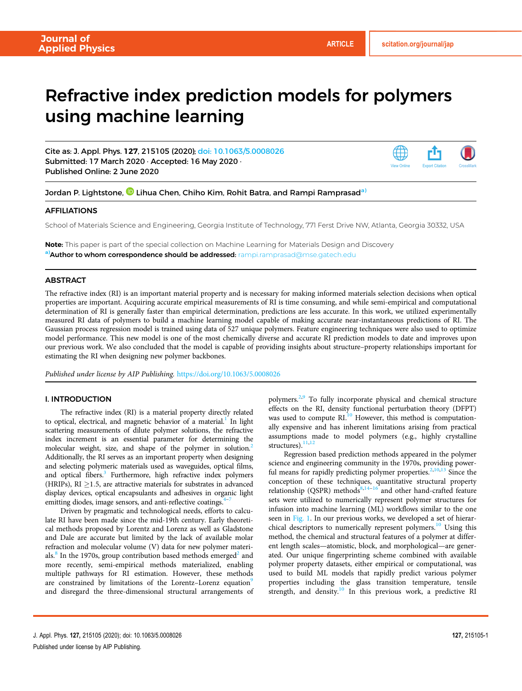# Refractive index prediction models for polymers using machine learning

Cite as: J. Appl. Phys. 127, 215105 (2020); [doi: 10.1063/5.0008026](https://doi.org/10.1063/5.0008026) Submitted: 17 March 2020 · Accepted: 16 May 2020 · Published Online: 2 June 2020



Jordan P. Lightstone,  ${}^{{\mathbf{O}}}$  Lihua Chen, Chiho Kim, Rohit Batra, and Rampi Ramprasad $^{\text{\text{a}})}$ 

# **AFFILIATIONS**

School of Materials Science and Engineering, Georgia Institute of Technology, 771 Ferst Drive NW, Atlanta, Georgia 30332, USA

Note: This paper is part of the special collection on Machine Learning for Materials Design and Discovery a)Author to whom correspondence should be addressed: [rampi.ramprasad@mse.gatech.edu](mailto:rampi.ramprasad@mse.gatech.edu)

# **ABSTRACT**

The refractive index (RI) is an important material property and is necessary for making informed materials selection decisions when optical properties are important. Acquiring accurate empirical measurements of RI is time consuming, and while semi-empirical and computational determination of RI is generally faster than empirical determination, predictions are less accurate. In this work, we utilized experimentally measured RI data of polymers to build a machine learning model capable of making accurate near-instantaneous predictions of RI. The Gaussian process regression model is trained using data of 527 unique polymers. Feature engineering techniques were also used to optimize model performance. This new model is one of the most chemically diverse and accurate RI prediction models to date and improves upon our previous work. We also concluded that the model is capable of providing insights about structure–property relationships important for estimating the RI when designing new polymer backbones.

Published under license by AIP Publishing. <https://doi.org/10.1063/5.0008026>

# I. INTRODUCTION

The refractive index (RI) is a material property directly related to optical, electrical, and magnetic behavior of a material.<sup>1</sup> In light scattering measurements of dilute polymer solutions, the refractive index increment is an essential parameter for determining the molecular weight, size, and shape of the polymer in solution.<sup>[2](#page-4-0)</sup> Additionally, the RI serves as an important property when designing and selecting polymeric materials used as waveguides, optical films, and optical fibers.<sup>3</sup> Furthermore, high refractive index polymers (HRIPs), RI  $\geq$ 1.5, are attractive materials for substrates in advanced display devices, optical encapsulants and adhesives in organic light emitting diodes, image sensors, and anti-reflective coatings.<sup>4</sup>

Driven by pragmatic and technological needs, efforts to calculate RI have been made since the mid-19th century. Early theoretical methods proposed by Lorentz and Lorenz as well as Gladstone and Dale are accurate but limited by the lack of available molar refraction and molecular volume (V) data for new polymer materials. $8$  In the 1970s, group contribution based methods emerged<sup>[2](#page-4-0)</sup> and more recently, semi-empirical methods materialized, enabling multiple pathways for RI estimation. However, these methods are constrained by limitations of the Lorentz–Lorenz equation<sup>[9](#page-4-0)</sup> and disregard the three-dimensional structural arrangements of polymers.[2](#page-4-0),[9](#page-4-0) To fully incorporate physical and chemical structure effects on the RI, density functional perturbation theory (DFPT) was used to compute RI.<sup>[10](#page-4-0)</sup> However, this method is computationally expensive and has inherent limitations arising from practical assumptions made to model polymers (e.g., highly crystalline structures).<sup>[11,12](#page-4-0)</sup>

Regression based prediction methods appeared in the polymer science and engineering community in the 1970s, providing powerful means for rapidly predicting polymer properties. $2,10,13$  $2,10,13$  $2,10,13$  $2,10,13$  $2,10,13$  Since the conception of these techniques, quantitative structural property relationship (QSPR) methods $8,14-16$  $8,14-16$  $8,14-16$  and other hand-crafted feature sets were utilized to numerically represent polymer structures for infusion into machine learning (ML) workflows similar to the one seen in [Fig. 1.](#page-1-0) In our previous works, we developed a set of hierar-chical descriptors to numerically represent polymers.<sup>[10](#page-4-0)</sup> Using this method, the chemical and structural features of a polymer at different length scales—atomistic, block, and morphological—are generated. Our unique fingerprinting scheme combined with available polymer property datasets, either empirical or computational, was used to build ML models that rapidly predict various polymer properties including the glass transition temperature, tensile strength, and density.<sup>[10](#page-4-0)</sup> In this previous work, a predictive RI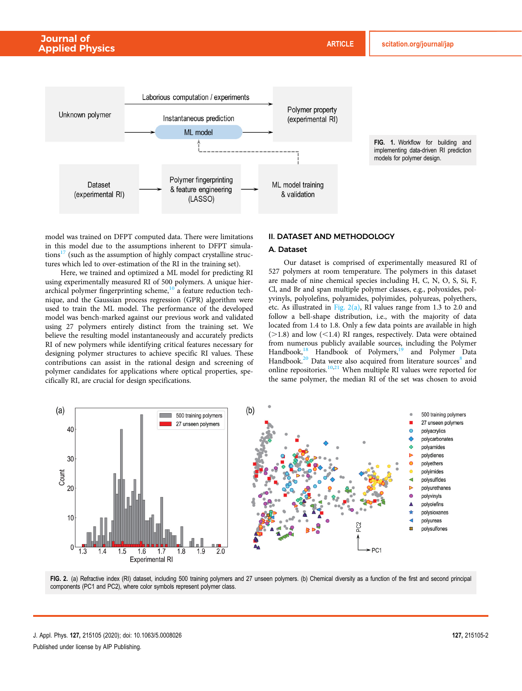<span id="page-1-0"></span>

model was trained on DFPT computed data. There were limitations in this model due to the assumptions inherent to DFPT simulations $17$  (such as the assumption of highly compact crystalline structures which led to over-estimation of the RI in the training set).

Here, we trained and optimized a ML model for predicting RI using experimentally measured RI of 500 polymers. A unique hierarchical polymer fingerprinting scheme, $10<sup>-10</sup>$  $10<sup>-10</sup>$  a feature reduction technique, and the Gaussian process regression (GPR) algorithm were used to train the ML model. The performance of the developed model was bench-marked against our previous work and validated using 27 polymers entirely distinct from the training set. We believe the resulting model instantaneously and accurately predicts RI of new polymers while identifying critical features necessary for designing polymer structures to achieve specific RI values. These contributions can assist in the rational design and screening of polymer candidates for applications where optical properties, specifically RI, are crucial for design specifications.

# II. DATASET AND METHODOLOGY

# A. Dataset

Our dataset is comprised of experimentally measured RI of 527 polymers at room temperature. The polymers in this dataset are made of nine chemical species including H, C, N, O, S, Si, F, Cl, and Br and span multiple polymer classes, e.g., polyoxides, polyvinyls, polyolefins, polyamides, polyimides, polyureas, polyethers, etc. As illustrated in Fig. 2(a), RI values range from 1.3 to 2.0 and follow a bell-shape distribution, i.e., with the majority of data located from 1.4 to 1.8. Only a few data points are available in high  $(>1.8)$  and low  $(<1.4)$  RI ranges, respectively. Data were obtained from numerous publicly available sources, including the Polymer Handbook,<sup>[18](#page-4-0)</sup> Handbook of Polymers,<sup>19</sup> and Polymer Data Handbook.<sup>[20](#page-4-0)</sup> Data were also acquired from literature sources<sup>[8](#page-4-0)</sup> and online repositories. $10,21$  $10,21$  $10,21$  When multiple RI values were reported for the same polymer, the median RI of the set was chosen to avoid



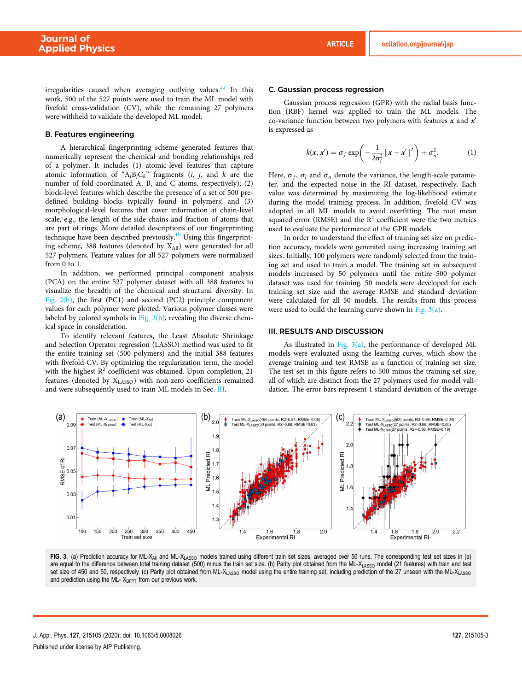<span id="page-2-0"></span>irregularities caused when averaging outlying values. $22$  In this work, 500 of the 527 points were used to train the ML model with fivefold cross-validation (CV), while the remaining 27 polymers were withheld to validate the developed ML model.

## B. Features engineering

A hierarchical fingerprinting scheme generated features that numerically represent the chemical and bonding relationships red of a polymer. It includes (1) atomic-level features that capture atomic information of " $A_iB_jC_k$ " fragments (*i*, *j*, and *k* are the number of fold-coordinated A, B, and C atoms, respectively); (2) block-level features which describe the presence of a set of 500 predefined building blocks typically found in polymers; and (3) morphological-level features that cover information at chain-level scale, e.g., the length of the side chains and fraction of atoms that are part of rings. More detailed descriptions of our fingerprinting technique have been described previously.<sup>10</sup> Using this fingerprinting scheme, 388 features (denoted by  $X_{All}$ ) were generated for all 527 polymers. Feature values for all 527 polymers were normalized from 0 to 1.

In addition, we performed principal component analysis (PCA) on the entire 527 polymer dataset with all 388 features to visualize the breadth of the chemical and structural diversity. In [Fig. 2\(b\),](#page-1-0) the first (PC1) and second (PC2) principle component values for each polymer were plotted. Various polymer classes were labeled by colored symbols in Fig.  $2(b)$ , revealing the diverse chemical space in consideration.

To identify relevant features, the Least Absolute Shrinkage and Selection Operator regression (LASSO) method was used to fit the entire training set (500 polymers) and the initial 388 features with fivefold CV. By optimizing the regularization term, the model with the highest  $R^2$  coefficient was obtained. Upon completion, 21 features (denoted by XLASSO) with non-zero coefficients remained and were subsequently used to train ML models in Sec. III.

#### C. Gaussian process regression

Gaussian process regression (GPR) with the radial basis function (RBF) kernel was applied to train the ML models. The co-variance function between two polymers with features  $x$  and  $x'$ is expressed as

$$
k(\mathbf{x}, \mathbf{x}') = \sigma_f \exp\left(-\frac{1}{2\sigma_l^2} ||\mathbf{x} - \mathbf{x}'||^2\right) + \sigma_n^2.
$$
 (1)

Here,  $\sigma_f$ ,  $\sigma_l$  and  $\sigma_n$  denote the variance, the length-scale parameter, and the expected noise in the RI dataset, respectively. Each value was determined by maximizing the log-likelihood estimate during the model training process. In addition, fivefold CV was adopted in all ML models to avoid overfitting. The root mean squared error (RMSE) and the  $R^2$  coefficient were the two metrics used to evaluate the performance of the GPR models.

In order to understand the effect of training set size on prediction accuracy, models were generated using increasing training set sizes. Initially, 100 polymers were randomly selected from the training set and used to train a model. The training set in subsequent models increased by 50 polymers until the entire 500 polymer dataset was used for training. 50 models were developed for each training set size and the average RMSE and standard deviation were calculated for all 50 models. The results from this process were used to build the learning curve shown in Fig. 3(a).

## III. RESULTS AND DISCUSSION

As illustrated in Fig.  $3(a)$ , the performance of developed ML models were evaluated using the learning curves, which show the average training and test RMSE as a function of training set size. The test set in this figure refers to 500 minus the training set size, all of which are distinct from the 27 polymers used for model validation. The error bars represent 1 standard deviation of the average



FIG. 3. (a) Prediction accuracy for ML-X<sub>All</sub> and ML-X<sub>LASSO</sub> models trained using different train set sizes, averaged over 50 runs. The corresponding test set sizes in (a) are equal to the difference between total training dataset (500) minus the train set size. (b) Parity plot obtained from the ML-X<sub>LASSO</sub> model (21 features) with train and test set size of 450 and 50, respectively. (c) Parity plot obtained from ML-XLASSO model using the entire training set, including prediction of the 27 unseen with the ML-XLASSO and prediction using the ML- $X_{D FPT}$  from our previous work.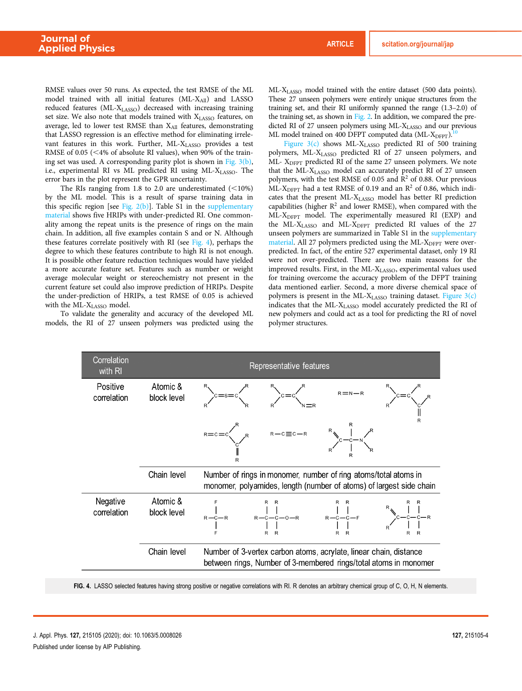<span id="page-3-0"></span>RMSE values over 50 runs. As expected, the test RMSE of the ML model trained with all initial features (ML-XAII) and LASSO reduced features (ML-X<sub>LASSO</sub>) decreased with increasing training set size. We also note that models trained with XLASSO features, on average, led to lower test RMSE than  $X_{All}$  features, demonstrating that LASSO regression is an effective method for eliminating irrelevant features in this work. Further, ML-XLASSO provides a test RMSE of  $0.05$  (<4% of absolute RI values), when 90% of the training set was used. A corresponding parity plot is shown in [Fig. 3\(b\)](#page-2-0), i.e., experimental RI vs ML predicted RI using ML-X<sub>LASSO</sub>. The error bars in the plot represent the GPR uncertainty.

The RIs ranging from 1.8 to 2.0 are underestimated  $(\leq 10\%)$ by the ML model. This is a result of sparse training data in this specific region [see Fig.  $2(b)$ ]. Table S1 in the [supplementary](https://doi.org/10.1063/5.0008026#suppl) [material](https://doi.org/10.1063/5.0008026#suppl) shows five HRIPs with under-predicted RI. One commonality among the repeat units is the presence of rings on the main chain. In addition, all five examples contain S and or N. Although these features correlate positively with RI (see Fig. 4), perhaps the degree to which these features contribute to high RI is not enough. It is possible other feature reduction techniques would have yielded a more accurate feature set. Features such as number or weight average molecular weight or stereochemistry not present in the current feature set could also improve prediction of HRIPs. Despite the under-prediction of HRIPs, a test RMSE of 0.05 is achieved with the ML-XLASSO model.

To validate the generality and accuracy of the developed ML models, the RI of 27 unseen polymers was predicted using the ML-X<sub>LASSO</sub> model trained with the entire dataset (500 data points). These 27 unseen polymers were entirely unique structures from the training set, and their RI uniformly spanned the range (1.3–2.0) of the training set, as shown in [Fig. 2.](#page-1-0) In addition, we compared the predicted RI of 27 unseen polymers using ML-XLASSO and our previous ML model trained on 400 DFPT computed data (ML-X<sub>DFPT</sub>).<sup>1</sup>

[Figure 3\(c\)](#page-2-0) shows ML-XLASSO predicted RI of 500 training polymers, ML-XLASSO predicted RI of 27 unseen polymers, and ML- X<sub>DFPT</sub> predicted RI of the same 27 unseen polymers. We note that the ML-XLASSO model can accurately predict RI of 27 unseen polymers, with the test RMSE of 0.05 and  $\mathbb{R}^2$  of 0.88. Our previous ML-X<sub>DFPT</sub> had a test RMSE of 0.19 and an  $\mathbb{R}^2$  of 0.86, which indicates that the present ML-XLASSO model has better RI prediction capabilities (higher  $R^2$  and lower RMSE), when compared with the ML-XDFPT model. The experimentally measured RI (EXP) and the ML-XLASSO and ML-XDFPT predicted RI values of the 27 unseen polymers are summarized in Table S1 in the [supplementary](https://doi.org/10.1063/5.0008026#suppl) [material](https://doi.org/10.1063/5.0008026#suppl). All 27 polymers predicted using the ML-X<sub>DFPT</sub> were overpredicted. In fact, of the entire 527 experimental dataset, only 19 RI were not over-predicted. There are two main reasons for the improved results. First, in the ML-X<sub>LASSO</sub>, experimental values used for training overcome the accuracy problem of the DFPT training data mentioned earlier. Second, a more diverse chemical space of polymers is present in the ML- $X_{LASSO}$  training dataset. Figure  $3(c)$ indicates that the ML-XLASSO model accurately predicted the RI of new polymers and could act as a tool for predicting the RI of novel polymer structures.

| Correlation<br>with RI  | Representative features |                                                                                                                                        |                                                                                                                                                                                                                                                                                                                                                                                                                                                                                                       |             |  |
|-------------------------|-------------------------|----------------------------------------------------------------------------------------------------------------------------------------|-------------------------------------------------------------------------------------------------------------------------------------------------------------------------------------------------------------------------------------------------------------------------------------------------------------------------------------------------------------------------------------------------------------------------------------------------------------------------------------------------------|-------------|--|
| Positive<br>correlation | Atomic &<br>block level | )c=s=c(                                                                                                                                | $c=c$<br>$R = c = c \begin{matrix} R & R - c \equiv c - R & R & R \\ R & R - c \equiv c - R & R & R \\ R & R & R & R \\ R & R & R & R \\ R & R & R & R \\ R & R & R & R \\ R & R & R & R \\ R & R & R & R \\ R & R & R & R \\ R & R & R & R \\ R & R & R & R \\ R & R & R & R \\ R & R & R & R \\ R & R & R & R \\ R & R & R & R \\ R & R & R & R \\ R & R & R & R \\ R & R & R & R \\ R & R & R & R \\ R & R & R & R \\ R & R & R & R \\ R & R & R & R \\ R & R & R & R \\ R & R & R & R \\ R & R &$ | $R = N - R$ |  |
|                         | Chain level             | Number of rings in monomer, number of ring atoms/total atoms in<br>monomer, polyamides, length (number of atoms) of largest side chain |                                                                                                                                                                                                                                                                                                                                                                                                                                                                                                       |             |  |
| Negative<br>correlation | Atomic &<br>block level |                                                                                                                                        | $R - C - R$<br>$R - C - C - 0 - R$<br>$R - C - C - F$<br>$R - C - C - F$<br>$R - C - C - F$                                                                                                                                                                                                                                                                                                                                                                                                           |             |  |
|                         | Chain level             | Number of 3-vertex carbon atoms, acrylate, linear chain, distance<br>between rings, Number of 3-membered rings/total atoms in monomer  |                                                                                                                                                                                                                                                                                                                                                                                                                                                                                                       |             |  |

FIG. 4. LASSO selected features having strong positive or negative correlations with RI. R denotes an arbitrary chemical group of C, O, H, N elements.